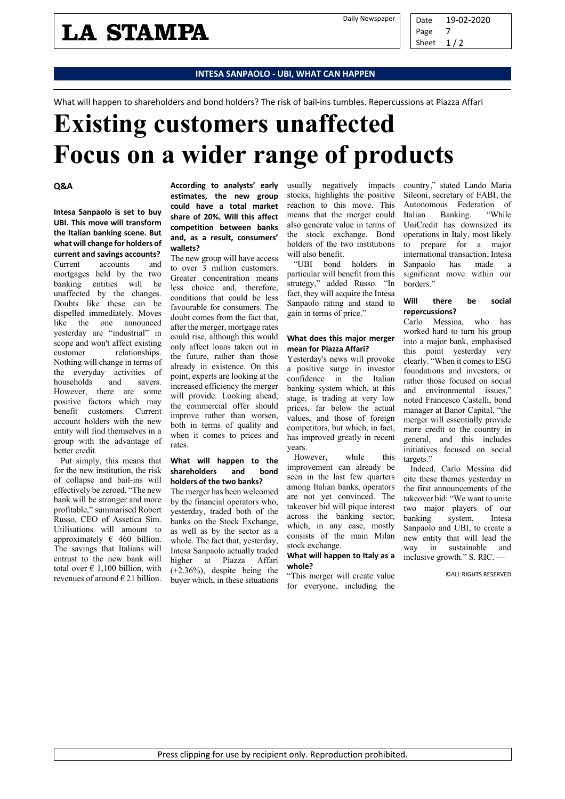### **LA STAMPA**

#### **INTESA SANPAOLO - UBI, WHAT CAN HAPPEN**

What will happen to shareholders and bond holders? The risk of bail-ins tumbles. Repercussions at Piazza Affari

## **Existing customers unaffected Focus on a wider range of products**

#### **Q&A**

**Intesa Sanpaolo is set to buy UBI. This move will transform the Italian banking scene. But what will change for holders of current and savings accounts?** Current accounts and mortgages held by the two banking entities will be unaffected by the changes. Doubts like these can be dispelled immediately. Moves like the one announced yesterday are "industrial" in scope and won't affect existing customer relationships. Nothing will change in terms of the everyday activities of households and savers. However, there are some positive factors which may benefit customers. Current account holders with the new entity will find themselves in a group with the advantage of better credit.

Put simply, this means that for the new institution, the risk of collapse and bail-ins will effectively be zeroed. "The new bank will be stronger and more profitable," summarised Robert Russo, CEO of Assetica Sim. Utilisations will amount to approximately  $\epsilon$  460 billion. The savings that Italians will entrust to the new bank will total over  $\epsilon$  1.100 billion, with revenues of around  $\epsilon$  21 billion.

**According to analysts' early estimates, the new group could have a total market share of 20%. Will this affect competition between banks and, as a result, consumers' wallets?**

The new group will have access to over 3 million customers. Greater concentration means less choice and, therefore, conditions that could be less favourable for consumers. The doubt comes from the fact that, after the merger, mortgage rates could rise, although this would only affect loans taken out in the future, rather than those already in existence. On this point, experts are looking at the increased efficiency the merger will provide. Looking ahead, the commercial offer should improve rather than worsen, both in terms of quality and when it comes to prices and rates.

#### **What will happen to the shareholders and bond holders of the two banks?**

The merger has been welcomed by the financial operators who, yesterday, traded both of the banks on the Stock Exchange, as well as by the sector as a whole. The fact that, yesterday, Intesa Sanpaolo actually traded higher at Piazza Affari (+2.36%), despite being the buyer which, in these situations

usually negatively impacts stocks, highlights the positive reaction to this move. This means that the merger could also generate value in terms of the stock exchange. Bond holders of the two institutions will also benefit.

"UBI bond holders in particular will benefit from this strategy," added Russo. "In fact, they will acquire the Intesa Sanpaolo rating and stand to gain in terms of price."

#### **What does this major merger mean for Piazza Affari?**

Yesterday's news will provoke a positive surge in investor confidence in the Italian banking system which, at this stage, is trading at very low prices, far below the actual values, and those of foreign competitors, but which, in fact, has improved greatly in recent years.

However, while this improvement can already be seen in the last few quarters among Italian banks, operators are not yet convinced. The takeover bid will pique interest across the banking sector, which, in any case, mostly consists of the main Milan stock exchange.

#### **What will happen to Italy as a whole?**

"This merger will create value for everyone, including the

country," stated Lando Maria Sileoni, secretary of FABI, the Autonomous Federation of<br>Italian Banking. "While Italian Banking. UniCredit has downsized its operations in Italy, most likely to prepare for a major international transaction, Intesa<br>Sanpaolo has made a Sanpaolo has made a significant move within our borders."

#### **Will there be social repercussions?**

Carlo Messina, who has worked hard to turn his group into a major bank, emphasised this point yesterday very clearly. "When it comes to ESG foundations and investors, or rather those focused on social and environmental issues," noted Francesco Castelli, bond manager at Banor Capital, "the merger will essentially provide more credit to the country in general, and this includes initiatives focused on social targets."

Indeed, Carlo Messina did cite these themes yesterday in the first announcements of the takeover bid: "We want to unite two major players of our banking system, Intesa Sanpaolo and UBI, to create a new entity that will lead the way in sustainable and inclusive growth." S. RIC. —

©ALL RIGHTS RESERVED